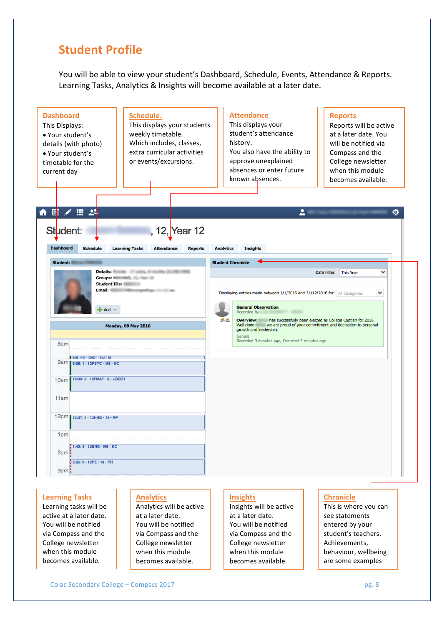## **Student Profile**

You will be able to view your student's Dashboard, Schedule, Events, Attendance & Reports. Learning Tasks, Analytics & Insights will become available at a later date.



Learning tasks will be active at a later date. You will be notified via Compass and the College newsletter when this module becomes available.

Analytics will be active at a later date. You will be notified via Compass and the College newsletter when this module becomes available.

Insights will be active at a later date. You will be notified via Compass and the College newsletter when this module becomes available.

This is where you can see statements entered by your student's teachers. Achievements, behaviour, wellbeing are some examples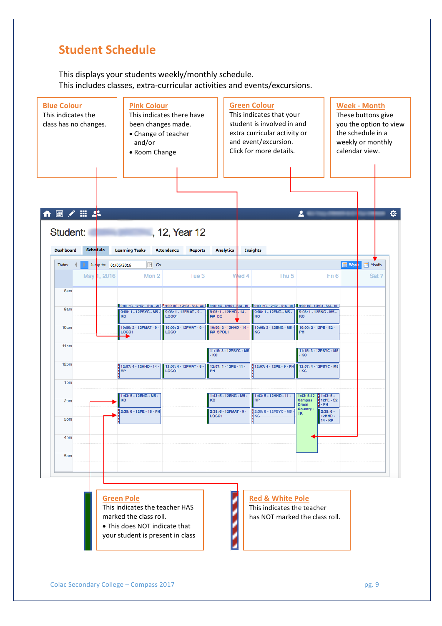# **Student Schedule**

This displays your students weekly/monthly schedule. This includes classes, extra-curricular activities and events/excursions.

| <b>Blue Colour</b><br>This indicates the<br>class has no changes. |                 |                                    | <b>Pink Colour</b><br>and/or<br>• Room Change                                                                  | This indicates there have<br>been changes made.<br>• Change of teacher |                                            | <b>Green Colour</b><br>This indicates that your<br>student is involved in and<br>extra curricular activity or<br>and event/excursion.<br>Click for more details.                     | <b>Week - Month</b><br>These buttons give<br>you the option to view<br>the schedule in a<br>weekly or monthly<br>calendar view. |                 |       |  |  |
|-------------------------------------------------------------------|-----------------|------------------------------------|----------------------------------------------------------------------------------------------------------------|------------------------------------------------------------------------|--------------------------------------------|--------------------------------------------------------------------------------------------------------------------------------------------------------------------------------------|---------------------------------------------------------------------------------------------------------------------------------|-----------------|-------|--|--|
| $\blacksquare$<br>Student:                                        | ※ 田 25          |                                    |                                                                                                                | , 12, Year 12                                                          |                                            |                                                                                                                                                                                      | $\mathbf{L}$ .                                                                                                                  |                 | ٠     |  |  |
| <b>Dashboard</b>                                                  | <b>Schedule</b> |                                    | <b>Learning Tasks</b><br>$\boxed{\circ}$ Go                                                                    | <b>Attendance</b><br><b>Reports</b>                                    | <b>Analytics</b>                           | <b>Insights</b>                                                                                                                                                                      |                                                                                                                                 | <b>THE Week</b> | Month |  |  |
| Today                                                             |                 | Jump to: 01/05/2016<br>May 1, 2016 | Mon 2                                                                                                          | Tue 3                                                                  | Wed 4                                      | Thu <sub>5</sub>                                                                                                                                                                     |                                                                                                                                 | Fri 6           | Sat 7 |  |  |
| 8am                                                               |                 |                                    |                                                                                                                |                                                                        |                                            |                                                                                                                                                                                      |                                                                                                                                 |                 |       |  |  |
| <b>9am</b>                                                        |                 |                                    | 9:08:1 - 12PSYC - M5 -<br>KC                                                                                   | 9:08: 1 - 12FMAT - 9 -<br>LOCO1                                        | $9:08:1 - 12HHD - 14 -$<br><b>RP EO</b>    | 9:00: HG - 12HG1 - S1A - MI   7 9:00: HG - 12HG1 - S1A - MI   9:00: HG - 12HG1 - S1A - MI   9:00: HG - 12HG1 - S1A - MI   9:00: HG - 12HG1 - S1A - MI<br>9:08:1 - 12ENG - M5 -<br>KC | $9:08:1 - 12ENG - M5 -$<br>KC                                                                                                   |                 |       |  |  |
| 10am                                                              |                 |                                    | 10:00: 2 - 12FMAT - 9 -<br><b>LOCO1</b>                                                                        | 10:00: 2 - 12FMAT - 9 -<br><b>LOCO1</b>                                | 10:00: 2 - 12HHD - 14 -<br><b>RP SPOL1</b> | 10:00: 2 - 12ENG - M5 -<br>KC                                                                                                                                                        | 10:00: 2 - 12PE - S2 -<br>PH                                                                                                    |                 |       |  |  |
| 11am                                                              |                 |                                    |                                                                                                                |                                                                        | 11:15: 3 - 12PSYC - M5<br>$-KC$            |                                                                                                                                                                                      | 11:15: 3 - 12PSYC - M5<br>- KC                                                                                                  |                 |       |  |  |
| 12pm                                                              |                 |                                    | 2 12:07: 4 - 12HHD - 14 -<br><b>RP</b>                                                                         | 12:07: 4 - 12FMAT - 9 -<br><b>LOCO1</b>                                | 12:07: 4 - 12PE - 11 -<br>PH               | 12:07: 4 - 12PE - 9 - PH                                                                                                                                                             | 12:07: 4 - 12PSYC - M5<br><b>KC</b>                                                                                             |                 |       |  |  |
| 1pm                                                               |                 |                                    |                                                                                                                |                                                                        |                                            |                                                                                                                                                                                      |                                                                                                                                 |                 |       |  |  |
| 2pm                                                               |                 |                                    | 1:43: 5 - 12ENG - M5 -<br>KC                                                                                   |                                                                        | 1:43: 5 - 12ENG - M5 -<br>KC               | 1:43: 5 - 12HHD - 11 -<br><b>RP</b>                                                                                                                                                  | $1:43:5-12$<br>$1:43:5-$<br>12PE - S2<br>Campus<br><b>Cross</b><br>- PH<br>Country -                                            |                 |       |  |  |
| 3pm                                                               |                 |                                    | 2:35: 6 - 12PE - 18 - PH                                                                                       |                                                                        | 2:35: 6 - 12FMAT - 9 -<br>LOCO1            | 2:35: 6 - 12PSYC - M5 -<br>KC                                                                                                                                                        | $2:35:6-$<br><b>TK</b><br><b>12HHD-</b><br>$14 - RP$                                                                            |                 |       |  |  |
| 4pm                                                               |                 |                                    |                                                                                                                |                                                                        |                                            |                                                                                                                                                                                      |                                                                                                                                 |                 |       |  |  |
| 5pm                                                               |                 |                                    |                                                                                                                |                                                                        |                                            |                                                                                                                                                                                      |                                                                                                                                 |                 |       |  |  |
|                                                                   |                 |                                    | <b>Green Pole</b><br>This indicates the teacher HAS<br>marked the class roll.<br>• This does NOT indicate that | your student is present in class                                       |                                            | <b>Red &amp; White Pole</b><br>This indicates the teacher<br>has NOT marked the class roll.                                                                                          |                                                                                                                                 |                 |       |  |  |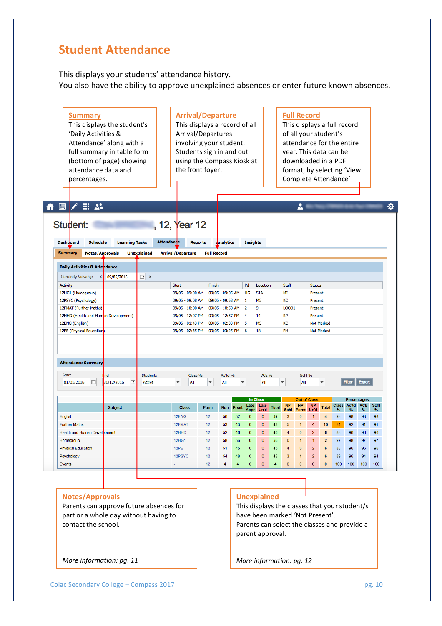## **Student Attendance**

This displays your students' attendance history. You also have the ability to approve unexplained absences or enter future known absences.

| <b>Summary</b><br>This displays the student's<br>'Daily Activities &<br>Attendance' along with a<br>full summary in table form<br>(bottom of page) showing<br>attendance data and<br>percentages. |                       |                    |                                  | <b>Arrival/Departure</b><br>This displays a record of all<br>Arrival/Departures<br>involving your student.<br>Students sign in and out<br>using the Compass Kiosk at<br>the front foyer. |                  |                    |                 |                         |              | <b>Full Record</b><br>This displays a full record<br>vear. This data can be<br>downloaded in a PDF<br>format, by selecting 'View<br>Complete Attendance' |                                  |                | of all your student's<br>attendance for the entire |              |               |                           |      |
|---------------------------------------------------------------------------------------------------------------------------------------------------------------------------------------------------|-----------------------|--------------------|----------------------------------|------------------------------------------------------------------------------------------------------------------------------------------------------------------------------------------|------------------|--------------------|-----------------|-------------------------|--------------|----------------------------------------------------------------------------------------------------------------------------------------------------------|----------------------------------|----------------|----------------------------------------------------|--------------|---------------|---------------------------|------|
|                                                                                                                                                                                                   |                       |                    |                                  |                                                                                                                                                                                          |                  |                    |                 |                         |              |                                                                                                                                                          |                                  |                |                                                    |              |               |                           |      |
| ╱⊞∴2<br>$\blacksquare$                                                                                                                                                                            |                       |                    |                                  |                                                                                                                                                                                          |                  |                    |                 |                         |              |                                                                                                                                                          | 2                                |                |                                                    |              |               |                           |      |
| Student:<br><b>Dashboard</b><br><b>Schedule</b>                                                                                                                                                   | <b>Learning Tasks</b> |                    | 12, Year 12<br><b>Attendande</b> | <b>Reports</b>                                                                                                                                                                           | Analytics        |                    | <b>Insights</b> |                         |              |                                                                                                                                                          |                                  |                |                                                    |              |               |                           |      |
| <b>Summary</b><br><b>Notes/Approvals</b>                                                                                                                                                          |                       | <b>Unexplained</b> | <b>Arrival/Departure</b>         | <b>Full Record</b>                                                                                                                                                                       |                  |                    |                 |                         |              |                                                                                                                                                          |                                  |                |                                                    |              |               |                           |      |
|                                                                                                                                                                                                   |                       |                    |                                  |                                                                                                                                                                                          |                  |                    |                 |                         |              |                                                                                                                                                          |                                  |                |                                                    |              |               |                           |      |
| Daily Activities & Attendance                                                                                                                                                                     |                       |                    |                                  |                                                                                                                                                                                          |                  |                    |                 |                         |              |                                                                                                                                                          |                                  |                |                                                    |              |               |                           |      |
| <b>Currently Viewing:</b>                                                                                                                                                                         | 09/05/2016            | $\vert \vert$ >    |                                  |                                                                                                                                                                                          |                  |                    |                 |                         |              |                                                                                                                                                          |                                  |                |                                                    |              |               |                           |      |
| <b>Activity</b>                                                                                                                                                                                   |                       |                    | <b>Start</b>                     | Finish                                                                                                                                                                                   |                  |                    | Pd              | Location                |              | Staff                                                                                                                                                    |                                  | <b>Status</b>  |                                                    |              |               |                           |      |
| 12HG1 (Homegroup)                                                                                                                                                                                 |                       |                    | 09/05 - 09:00 AM                 |                                                                                                                                                                                          | 09/05 - 09:05 AM |                    | HG              | S <sub>1</sub> A        |              | MI                                                                                                                                                       |                                  | Present        |                                                    |              |               |                           |      |
| 12PSYC (Psychology)                                                                                                                                                                               |                       |                    | 09/05 - 09:08 AM                 |                                                                                                                                                                                          | 09/05 - 09:58 AM |                    | $\blacksquare$  | M <sub>5</sub>          |              | KC                                                                                                                                                       |                                  | Present        |                                                    |              |               |                           |      |
| 12FMAT (Further Maths)                                                                                                                                                                            |                       |                    | 09/05 - 10:00 AM                 |                                                                                                                                                                                          | 09/05 - 10:50 AM |                    | $\overline{2}$  | 9                       |              | LOCO1                                                                                                                                                    |                                  | Present        |                                                    |              |               |                           |      |
| 12HHD (Health and Human Development)                                                                                                                                                              |                       |                    | 09/05 - 12:07 PM                 |                                                                                                                                                                                          | 09/05 - 12:57 PM |                    | $\overline{4}$  | 14                      |              | <b>RP</b>                                                                                                                                                |                                  | Present        |                                                    |              |               |                           |      |
| 12ENG (English)                                                                                                                                                                                   |                       |                    | 09/05 - 01:43 PM                 |                                                                                                                                                                                          |                  | 09/05 - 02:33 PM 5 |                 | M <sub>5</sub>          |              | КC                                                                                                                                                       |                                  |                | Not Marked                                         |              |               |                           |      |
| 12PE (Physical Education)                                                                                                                                                                         |                       |                    | 09/05 - 02:35 PM                 |                                                                                                                                                                                          | 09/05 - 03:25 PM |                    | - 6             | 18                      |              | PH                                                                                                                                                       |                                  |                | <b>Not Marked</b>                                  |              |               |                           |      |
| <b>Attendance Summary</b>                                                                                                                                                                         |                       |                    |                                  |                                                                                                                                                                                          |                  |                    |                 |                         |              |                                                                                                                                                          |                                  |                |                                                    |              |               |                           |      |
| <b>Start</b>                                                                                                                                                                                      | ind                   | <b>Students</b>    |                                  | Class %                                                                                                                                                                                  | Ac'td %          |                    |                 | VCE %                   |              |                                                                                                                                                          | Schl %                           |                |                                                    |              |               |                           |      |
| P<br>01/01/2016                                                                                                                                                                                   | 31/12/2016<br>œ       | Active             | ٠<br>All                         | ۰                                                                                                                                                                                        | All              | ٧                  |                 | All                     |              | v                                                                                                                                                        | All                              |                | $\checkmark$                                       |              | <b>Filter</b> | <b>Export</b>             |      |
|                                                                                                                                                                                                   |                       |                    |                                  |                                                                                                                                                                                          |                  |                    |                 |                         |              |                                                                                                                                                          |                                  |                |                                                    |              |               |                           |      |
|                                                                                                                                                                                                   |                       |                    |                                  |                                                                                                                                                                                          |                  |                    | Late            | <b>In Class</b><br>Late |              | <b>NP</b>                                                                                                                                                | <b>Out of Class</b><br><b>NP</b> | <b>NP</b>      |                                                    | <b>Class</b> | Ac'td         | Percentages<br><b>VCE</b> | Schl |
|                                                                                                                                                                                                   | <b>Subject</b>        |                    | <b>Class</b>                     | Form                                                                                                                                                                                     | <b>Run</b>       | Prsnt              | Appr            | Un'd                    | <b>Total</b> | Schl                                                                                                                                                     | Parnt                            | Un'd           | Total                                              | %            | %             | ℅                         | %    |
| English                                                                                                                                                                                           |                       |                    | 12ENG                            | 12                                                                                                                                                                                       | 56               | 52                 | 0               | $\pmb{0}$               | 52           | 3                                                                                                                                                        | 0                                | 1              | $\overline{4}$                                     | 93           | 98            | 98                        | 98   |
| <b>Further Maths</b>                                                                                                                                                                              |                       |                    | 12FMAT                           | 12                                                                                                                                                                                       | 53               | 43                 | $\mathbf 0$     | $\mathbf{0}$            | 43           | 5                                                                                                                                                        | 1                                | $\overline{4}$ | 10                                                 | 81           | 92            | 91                        | 91   |
| Health and Human Development                                                                                                                                                                      |                       |                    | 12HHD                            | 12                                                                                                                                                                                       | 52               | 46                 | 0               | 0                       | 46           | 4                                                                                                                                                        | $\mathbf 0$                      | 2              | 6                                                  | 88           | 96            | 96                        | 96   |
| Homegroup                                                                                                                                                                                         |                       |                    | <b>12HG1</b>                     | 12                                                                                                                                                                                       | 58               | 56                 | 0               | $\mathbf 0$             | 56           | 0                                                                                                                                                        | $\mathbf{1}$                     | $\mathbf{1}$   | $\overline{2}$                                     | 97           | 98            | 97                        | 97   |
| <b>Physical Education</b>                                                                                                                                                                         |                       |                    | 12PE                             | 12                                                                                                                                                                                       | 51               | 45                 | $\mathbf{0}$    | $\mathbf{0}$            | 45           | $\overline{4}$                                                                                                                                           | $\mathbf 0$                      | $\overline{2}$ | 6                                                  | 88           | 96            | 96                        | 96   |
| Psychology                                                                                                                                                                                        |                       |                    | 12PSYC                           | 12                                                                                                                                                                                       | 54               | 48                 | $\mathbf 0$     | 0                       | 48           | 3                                                                                                                                                        | 1                                | $\overline{2}$ | 6                                                  | 89           | 96            | 94                        | 94   |
| <b>Events</b>                                                                                                                                                                                     |                       |                    |                                  | 12                                                                                                                                                                                       | 4                | $\overline{4}$     | $\mathbf{0}$    | $\mathbf{0}$            | 4            | $\mathbf{0}$                                                                                                                                             | $\mathbf{0}$                     | $\overline{0}$ | $\mathbf{0}$                                       | 100          | 100           | 100                       | 100  |

#### **Notes/Approvals**

Parents can approve future absences for part or a whole day without having to contact the school.

#### **Unexplained**

This displays the classes that your student/s have been marked 'Not Present'. Parents can select the classes and provide a parent approval.

*More information: pg. 12* 

*More information: pg. 11*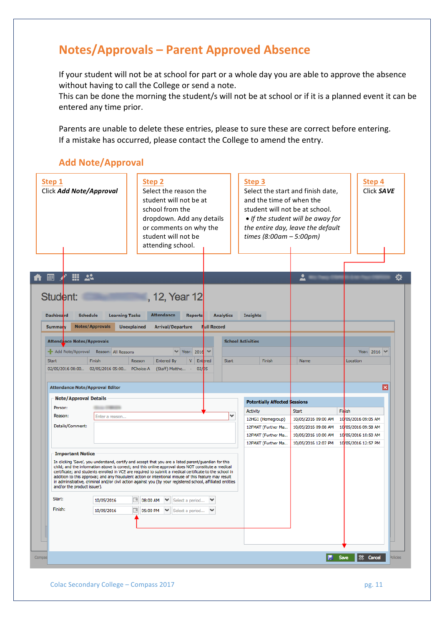# **Notes/Approvals – Parent Approved Absence**

If your student will not be at school for part or a whole day you are able to approve the absence without having to call the College or send a note.

This can be done the morning the student/s will not be at school or if it is a planned event it can be entered any time prior.

Parents are unable to delete these entries, please to sure these are correct before entering. If a mistake has occurred, please contact the College to amend the entry.

### **Add Note/Approval**

| Step 1<br>Click Add Note/Approval                                                 |                                              | <b>Step 2</b><br>Select the reason the<br>student will not be at<br>school from the<br>dropdown. Add any details<br>or comments on why the<br>student will not be<br>attending school.                                                                                                                                                                                                                                                                                                                                                          |                   |                    |                  | Step 3<br>and the time of when the<br>student will not be at school.<br>times $(8:00am - 5:00pm)$ | Select the start and finish date,<br>• If the student will be away for<br>the entire day, leave the default |          | Step 4<br>Click SAVE                       |
|-----------------------------------------------------------------------------------|----------------------------------------------|-------------------------------------------------------------------------------------------------------------------------------------------------------------------------------------------------------------------------------------------------------------------------------------------------------------------------------------------------------------------------------------------------------------------------------------------------------------------------------------------------------------------------------------------------|-------------------|--------------------|------------------|---------------------------------------------------------------------------------------------------|-------------------------------------------------------------------------------------------------------------|----------|--------------------------------------------|
| m.<br>-22<br>團                                                                    |                                              |                                                                                                                                                                                                                                                                                                                                                                                                                                                                                                                                                 |                   |                    |                  |                                                                                                   | ≟                                                                                                           |          | ₩                                          |
| Student:<br><b>Dashboard</b><br><b>Schedule</b>                                   | <b>Learning Tasks</b>                        | , 12, Year 12<br><b>Attendance</b>                                                                                                                                                                                                                                                                                                                                                                                                                                                                                                              | <b>Reports</b>    |                    | <b>Analytics</b> | <b>Insights</b>                                                                                   |                                                                                                             |          |                                            |
| <b>Summary</b>                                                                    | <b>Notes/Approvals</b><br><b>Unexplained</b> | <b>Arrival/Departure</b>                                                                                                                                                                                                                                                                                                                                                                                                                                                                                                                        |                   | <b>Full Record</b> |                  |                                                                                                   |                                                                                                             |          |                                            |
| Attendance Notes/Approvals                                                        |                                              |                                                                                                                                                                                                                                                                                                                                                                                                                                                                                                                                                 |                   |                    |                  | <b>School Activities</b>                                                                          |                                                                                                             |          |                                            |
| Add Note/Approval Reason: All Reasons                                             |                                              |                                                                                                                                                                                                                                                                                                                                                                                                                                                                                                                                                 | $\vee$ Year: 2016 |                    |                  |                                                                                                   |                                                                                                             |          | Year: 2016 →                               |
| <b>Start</b>                                                                      | Finish                                       | Reason<br><b>Entered By</b>                                                                                                                                                                                                                                                                                                                                                                                                                                                                                                                     | V Entered         |                    | <b>Start</b>     | Finish                                                                                            | Name                                                                                                        | Location |                                            |
| <b>Attendance Note/Approval Editor</b><br><b>Note/Approval Details</b><br>Person: |                                              |                                                                                                                                                                                                                                                                                                                                                                                                                                                                                                                                                 |                   |                    |                  | <b>Potentially Affected \$essions</b>                                                             |                                                                                                             |          | ×                                          |
| Reason:                                                                           | Enter a reason                               |                                                                                                                                                                                                                                                                                                                                                                                                                                                                                                                                                 |                   |                    | v                | Activity                                                                                          | <b>Start</b>                                                                                                | Finish   |                                            |
| Details/Comment:                                                                  |                                              |                                                                                                                                                                                                                                                                                                                                                                                                                                                                                                                                                 |                   |                    |                  | 12HG1 (Homegroup)<br>12FMAT (Further Ma                                                           | 10/05/2016 09:00 AM<br>10/05/2016 09:08 AM                                                                  |          | 10005/2016 09:05 AM<br>10005/2016 09:58 AM |
|                                                                                   |                                              |                                                                                                                                                                                                                                                                                                                                                                                                                                                                                                                                                 |                   |                    |                  | 12FMAT (Further Ma                                                                                | 10/05/2016 10:00 AM                                                                                         |          | 10/05/2016 10:50 AM                        |
|                                                                                   |                                              |                                                                                                                                                                                                                                                                                                                                                                                                                                                                                                                                                 |                   |                    |                  | 12FMAT (Further Ma                                                                                | 10/05/2016 12:07 PM                                                                                         |          | 10/05/2016 12:57 PM                        |
| <b>Important Notice</b>                                                           |                                              |                                                                                                                                                                                                                                                                                                                                                                                                                                                                                                                                                 |                   |                    |                  |                                                                                                   |                                                                                                             |          |                                            |
| and/or the product issuer).                                                       |                                              | In clicking 'Save', you understand, certify and accept that you are a listed parent/guardian for this<br>child; and the information above is correct; and this online approval does NOT constitute a medical<br>certificate; and students enrolled in VCE are required to submit a medical certificate to the school in<br>addition to this approval; and any fraudulent action or intentional misuse of this feature may result<br>in administrative, criminal and/or civil action against you (by your registered school, affiliated entities |                   |                    |                  |                                                                                                   |                                                                                                             |          |                                            |
| Start:                                                                            | 10/05/2016                                   | $\boxed{9}$ 08:00 AM $\boxed{\blacktriangleright}$                                                                                                                                                                                                                                                                                                                                                                                                                                                                                              | Select a period   | $\checkmark$       |                  |                                                                                                   |                                                                                                             |          |                                            |
| Finish:                                                                           | 10/05/2016                                   | ■ 05:00 PM $\blacktriangleright$ Select a period $\blacktriangleright$                                                                                                                                                                                                                                                                                                                                                                                                                                                                          |                   |                    |                  |                                                                                                   |                                                                                                             |          |                                            |
|                                                                                   |                                              |                                                                                                                                                                                                                                                                                                                                                                                                                                                                                                                                                 |                   |                    |                  |                                                                                                   |                                                                                                             |          |                                            |
|                                                                                   |                                              |                                                                                                                                                                                                                                                                                                                                                                                                                                                                                                                                                 |                   |                    |                  |                                                                                                   |                                                                                                             |          |                                            |
|                                                                                   |                                              |                                                                                                                                                                                                                                                                                                                                                                                                                                                                                                                                                 |                   |                    |                  |                                                                                                   | F                                                                                                           | Save     | S <sup>‰</sup> Cancel<br>Policies          |

Colac Secondary College – Compass 2017 **pg. 11** pg. 11